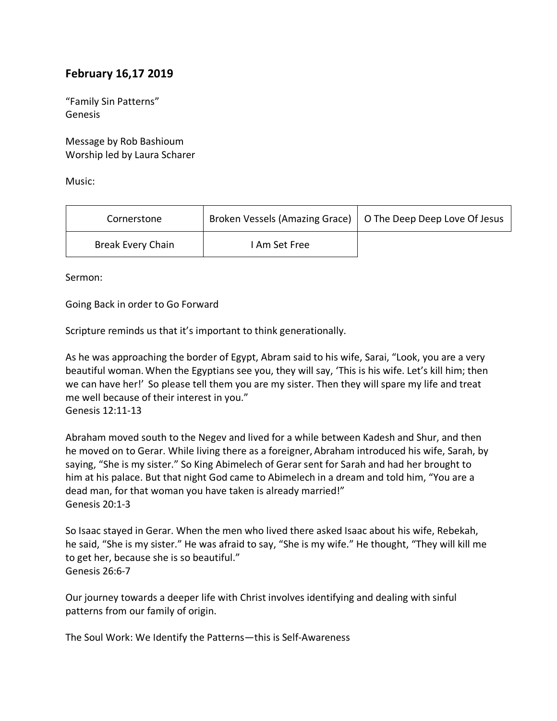## **February 16,17 2019**

"Family Sin Patterns" Genesis

Message by Rob Bashioum Worship led by Laura Scharer

Music:

| Cornerstone              | Broken Vessels (Amazing Grace)   O The Deep Deep Love Of Jesus |  |
|--------------------------|----------------------------------------------------------------|--|
| <b>Break Every Chain</b> | I Am Set Free                                                  |  |

Sermon:

Going Back in order to Go Forward

Scripture reminds us that it's important to think generationally.

As he was approaching the border of Egypt, Abram said to his wife, Sarai, "Look, you are a very beautiful woman.When the Egyptians see you, they will say, 'This is his wife. Let's kill him; then we can have her!' So please tell them you are my sister. Then they will spare my life and treat me well because of their interest in you." Genesis 12:11-13

Abraham moved south to the Negev and lived for a while between Kadesh and Shur, and then he moved on to Gerar. While living there as a foreigner, Abraham introduced his wife, Sarah, by saying, "She is my sister." So King Abimelech of Gerar sent for Sarah and had her brought to him at his palace. But that night God came to Abimelech in a dream and told him, "You are a dead man, for that woman you have taken is already married!" Genesis 20:1-3

So Isaac stayed in Gerar. When the men who lived there asked Isaac about his wife, Rebekah, he said, "She is my sister." He was afraid to say, "She is my wife." He thought, "They will kill me to get her, because she is so beautiful." Genesis 26:6-7

Our journey towards a deeper life with Christ involves identifying and dealing with sinful patterns from our family of origin.

The Soul Work: We Identify the Patterns—this is Self-Awareness